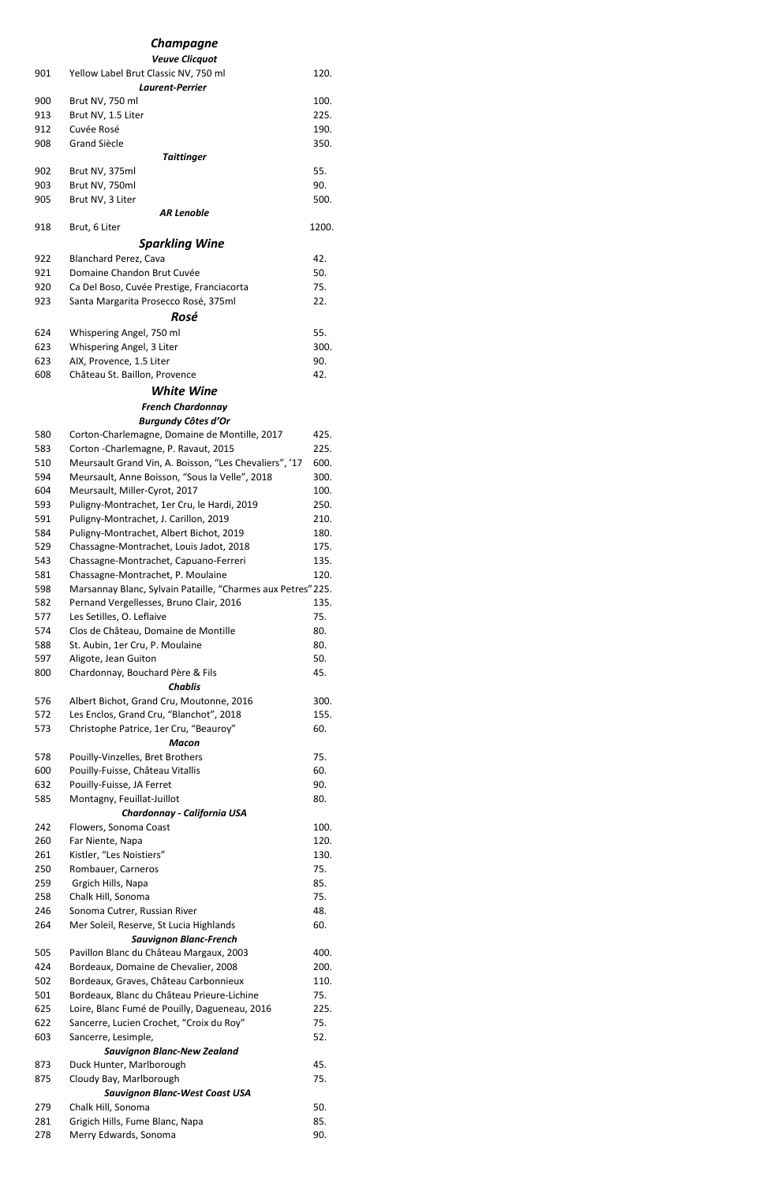#### *Champagne*

# *Veuve Clicquot* 901 Yellow Label Brut Classic NV, 750 ml 120. *Laurent-Perrier* 900 Brut NV, 750 ml 100. 913 Brut NV, 1.5 Liter 225. 912 Cuvée Rosé **190.** 908 Grand Siècle 350. *Taittinger* 902 Brut NV, 375ml 55. 903 Brut NV, 750ml 90. 905 Brut NV, 3 Liter 500. *AR Lenoble* 918 Brut, 6 Liter 1200. *Sparkling Wine* 922 Blanchard Perez, Cava 42. 921 Domaine Chandon Brut Cuvée 50. 920 Ca Del Boso, Cuvée Prestige, Franciacorta 75. 923 Santa Margarita Prosecco Rosé, 375ml 22. *Rosé* 624 Whispering Angel, 750 ml 55. 623 Whispering Angel, 3 Liter 300. 623 AIX, Provence, 1.5 Liter 190. 608 Château St. Baillon, Provence 42. *White Wine French Chardonnay Burgundy Côtes d'Or* 580 Corton-Charlemagne, Domaine de Montille, 2017 425. 583 Corton -Charlemagne, P. Ravaut, 2015 225. 510 Meursault Grand Vin, A. Boisson, "Les Chevaliers", '17 600. 594 Meursault, Anne Boisson, "Sous la Velle", 2018 300. 604 Meursault, Miller-Cyrot, 2017 100. 593 Puligny-Montrachet, 1er Cru, le Hardi, 2019 250. 591 Puligny-Montrachet, J. Carillon, 2019 210. 584 Puligny-Montrachet, Albert Bichot, 2019 180. 529 Chassagne-Montrachet, Louis Jadot, 2018 175. 543 Chassagne-Montrachet, Capuano-Ferreri 135. 581 Chassagne-Montrachet, P. Moulaine 120. 598 Marsannay Blanc, Sylvain Pataille, "Charmes aux Petres"225. 582 Pernand Vergellesses, Bruno Clair, 2016 135. 577 Les Setilles, O. Leflaive 75. 574 Clos de Château, Domaine de Montille 60. 588 St. Aubin, 1er Cru, P. Moulaine 1997 1998. 597 Aligote, Jean Guiton 50. 800 Chardonnay, Bouchard Père & Fils 45. *Chablis* 576 Albert Bichot, Grand Cru, Moutonne, 2016 300. 572 Les Enclos, Grand Cru, "Blanchot", 2018 155. 573 Christophe Patrice, 1er Cru, "Beauroy" 60. *Macon* 578 Pouilly-Vinzelles, Bret Brothers 75. 600 Pouilly-Fuisse, Château Vitallis 60. 632 Pouilly-Fuisse, JA Ferret 90. 585 Montagny, Feuillat-Juillot 60. *Chardonnay - California USA* 242 Flowers, Sonoma Coast 100. 260 Far Niente, Napa 120. 261 Kistler, "Les Noistiers" 130.

| 250 | Rombauer, Carneros                            | 75.  |  |
|-----|-----------------------------------------------|------|--|
| 259 | Grgich Hills, Napa                            | 85.  |  |
| 258 | Chalk Hill, Sonoma                            | 75.  |  |
| 246 | Sonoma Cutrer, Russian River                  | 48.  |  |
| 264 | Mer Soleil, Reserve, St Lucia Highlands       | 60.  |  |
|     | <b>Sauvignon Blanc-French</b>                 |      |  |
| 505 | Pavillon Blanc du Château Margaux, 2003       | 400. |  |
| 424 | Bordeaux, Domaine de Chevalier, 2008          | 200. |  |
| 502 | Bordeaux, Graves, Château Carbonnieux         | 110. |  |
| 501 | Bordeaux, Blanc du Château Prieure-Lichine    | 75.  |  |
| 625 | Loire, Blanc Fumé de Pouilly, Dagueneau, 2016 | 225. |  |
| 622 | Sancerre, Lucien Crochet, "Croix du Roy"      | 75.  |  |
| 603 | Sancerre, Lesimple,                           | 52.  |  |
|     | <b>Sauvignon Blanc-New Zealand</b>            |      |  |
| 873 | Duck Hunter, Marlborough                      | 45.  |  |
| 875 | Cloudy Bay, Marlborough                       | 75.  |  |
|     | <b>Sauvignon Blanc-West Coast USA</b>         |      |  |
| 279 | Chalk Hill, Sonoma                            | 50.  |  |
| 281 | Grigich Hills, Fume Blanc, Napa               | 85.  |  |
| 278 | Merry Edwards, Sonoma                         | 90.  |  |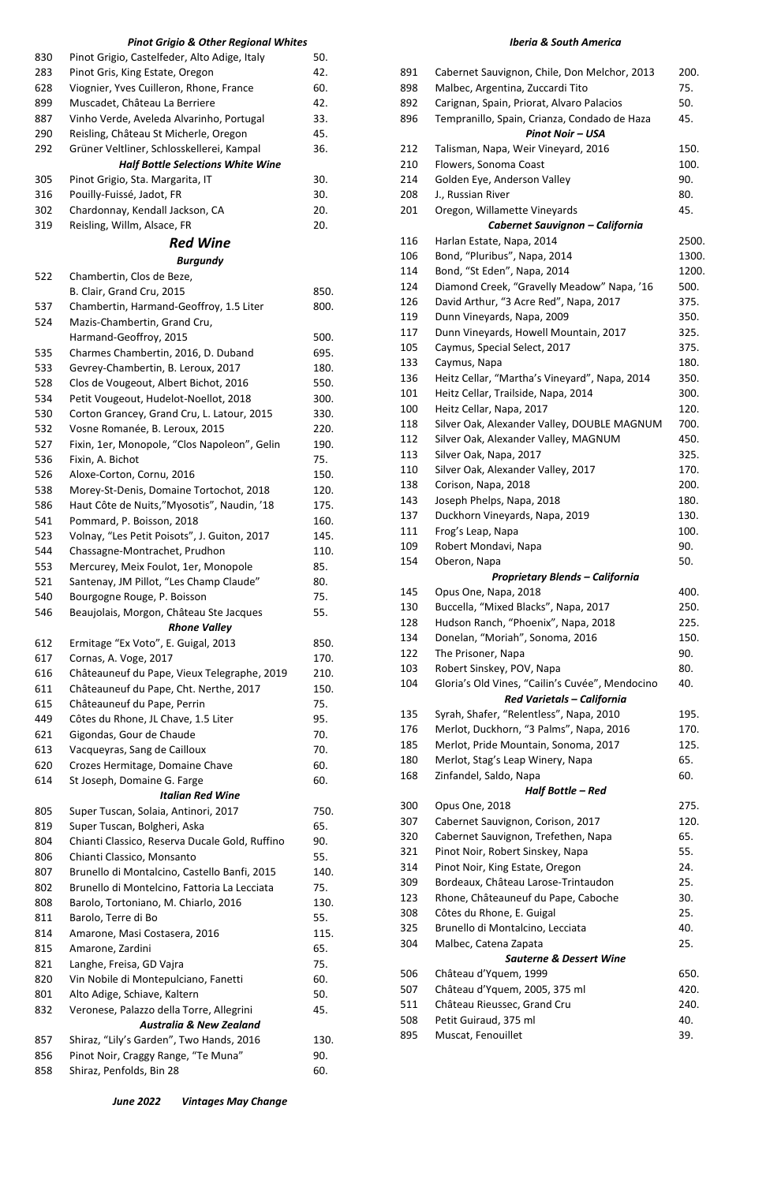# *Pinot Grigio & Other Regional Whites*

| 830 | Pinot Grigio, Castelfeder, Alto Adige, Italy                                          | 50.  |
|-----|---------------------------------------------------------------------------------------|------|
| 283 | Pinot Gris, King Estate, Oregon                                                       | 42.  |
| 628 | Viognier, Yves Cuilleron, Rhone, France                                               | 60.  |
| 899 | Muscadet, Château La Berriere                                                         | 42.  |
| 887 | Vinho Verde, Aveleda Alvarinho, Portugal                                              | 33.  |
| 290 | Reisling, Château St Micherle, Oregon                                                 | 45.  |
| 292 | Grüner Veltliner, Schlosskellerei, Kampal<br><b>Half Bottle Selections White Wine</b> | 36.  |
| 305 | Pinot Grigio, Sta. Margarita, IT                                                      | 30.  |
| 316 | Pouilly-Fuissé, Jadot, FR                                                             | 30.  |
| 302 | Chardonnay, Kendall Jackson, CA                                                       | 20.  |
| 319 | Reisling, Willm, Alsace, FR                                                           | 20.  |
|     | <b>Red Wine</b>                                                                       |      |
|     | <b>Burgundy</b>                                                                       |      |
| 522 | Chambertin, Clos de Beze,                                                             |      |
|     | B. Clair, Grand Cru, 2015                                                             | 850. |
| 537 | Chambertin, Harmand-Geoffroy, 1.5 Liter                                               | 800. |
| 524 | Mazis-Chambertin, Grand Cru,                                                          |      |
|     | Harmand-Geoffroy, 2015                                                                | 500. |
| 535 | Charmes Chambertin, 2016, D. Duband                                                   | 695. |
| 533 | Gevrey-Chambertin, B. Leroux, 2017                                                    | 180. |
| 528 | Clos de Vougeout, Albert Bichot, 2016                                                 | 550. |
| 534 | Petit Vougeout, Hudelot-Noellot, 2018                                                 | 300. |
| 530 | Corton Grancey, Grand Cru, L. Latour, 2015                                            | 330. |
| 532 | Vosne Romanée, B. Leroux, 2015                                                        | 220. |
| 527 | Fixin, 1er, Monopole, "Clos Napoleon", Gelin                                          | 190. |
| 536 | Fixin, A. Bichot                                                                      | 75.  |
| 526 | Aloxe-Corton, Cornu, 2016                                                             | 150. |
| 538 | Morey-St-Denis, Domaine Tortochot, 2018                                               | 120. |
| 586 | Haut Côte de Nuits,"Myosotis", Naudin, '18                                            | 175. |
| 541 | Pommard, P. Boisson, 2018                                                             | 160. |
| 523 | Volnay, "Les Petit Poisots", J. Guiton, 2017                                          | 145. |
| 544 | Chassagne-Montrachet, Prudhon                                                         | 110. |
| 553 | Mercurey, Meix Foulot, 1er, Monopole                                                  | 85.  |
| 521 | Santenay, JM Pillot, "Les Champ Claude"                                               | 80.  |
| 540 | Bourgogne Rouge, P. Boisson                                                           | 75.  |
| 546 | Beaujolais, Morgon, Château Ste Jacques                                               | 55.  |
|     | <b>Rhone Valley</b>                                                                   |      |
| 612 | Ermitage "Ex Voto", E. Guigal, 2013                                                   | 850. |
| 617 | Cornas, A. Voge, 2017                                                                 | 170. |
| 616 | Châteauneuf du Pape, Vieux Telegraphe, 2019                                           | 210. |
| 611 | Châteauneuf du Pape, Cht. Nerthe, 2017                                                | 150. |
| 615 | Châteauneuf du Pape, Perrin                                                           | 75.  |
| 449 | Côtes du Rhone, JL Chave, 1.5 Liter                                                   | 95.  |
| 621 | Gigondas, Gour de Chaude                                                              | 70.  |
| 613 | Vacqueyras, Sang de Cailloux                                                          | 70.  |
| 620 | Crozes Hermitage, Domaine Chave                                                       | 60.  |
| 614 | St Joseph, Domaine G. Farge                                                           | 60.  |
|     | <b>Italian Red Wine</b>                                                               |      |
| 805 | Super Tuscan, Solaia, Antinori, 2017                                                  | 750. |
| 819 | Super Tuscan, Bolgheri, Aska                                                          | 65.  |
| 804 | Chianti Classico, Reserva Ducale Gold, Ruffino                                        | 90.  |
| 806 | Chianti Classico, Monsanto                                                            | 55.  |
| 807 | Brunello di Montalcino, Castello Banfi, 2015                                          | 140. |
| 802 | Brunello di Montelcino, Fattoria La Lecciata                                          | 75.  |
| 808 | Barolo, Tortoniano, M. Chiarlo, 2016                                                  | 130. |
| 811 | Barolo, Terre di Bo                                                                   | 55.  |
| 814 | Amarone, Masi Costasera, 2016                                                         | 115. |
| 815 | Amarone, Zardini                                                                      | 65.  |
| 821 | Langhe, Freisa, GD Vajra                                                              | 75.  |
| 820 | Vin Nobile di Montepulciano, Fanetti                                                  | 60.  |
| 801 | Alto Adige, Schiave, Kaltern                                                          | 50.  |
| 832 | Veronese, Palazzo della Torre, Allegrini                                              | 45.  |
|     | <b>Australia &amp; New Zealand</b>                                                    |      |
| 857 | Shiraz, "Lily's Garden", Two Hands, 2016                                              | 130. |
| 856 | Pinot Noir, Craggy Range, "Te Muna"                                                   | 90.  |
| 858 | Shiraz, Penfolds, Bin 28                                                              | 60.  |
|     |                                                                                       |      |

| 514 | PINOL NOIL, KING ESIALE, OLEGON     | Z4.  |
|-----|-------------------------------------|------|
| 309 | Bordeaux, Château Larose-Trintaudon | 25.  |
| 123 | Rhone, Châteauneuf du Pape, Caboche | 30.  |
| 308 | Côtes du Rhone, E. Guigal           | 25.  |
| 325 | Brunello di Montalcino, Lecciata    | 40.  |
| 304 | Malbec, Catena Zapata               | 25.  |
|     | <b>Sauterne &amp; Dessert Wine</b>  |      |
| 506 | Château d'Yquem, 1999               | 650. |
| 507 | Château d'Yquem, 2005, 375 ml       | 420. |
| 511 | Château Rieussec, Grand Cru         | 240. |
| 508 | Petit Guiraud, 375 ml               | 40.  |
| 895 | Muscat, Fenouillet                  | 39.  |

| <b>June 2022</b> | <b>Vintages May Change</b> |
|------------------|----------------------------|
|------------------|----------------------------|

### *Iberia & South America*

| 891 | Cabernet Sauvignon, Chile, Don Melchor, 2013    | 200.  |
|-----|-------------------------------------------------|-------|
| 898 | Malbec, Argentina, Zuccardi Tito                | 75.   |
| 892 | Carignan, Spain, Priorat, Alvaro Palacios       | 50.   |
| 896 | Tempranillo, Spain, Crianza, Condado de Haza    | 45.   |
|     | <b>Pinot Noir - USA</b>                         |       |
| 212 | Talisman, Napa, Weir Vineyard, 2016             | 150.  |
| 210 | Flowers, Sonoma Coast                           | 100.  |
| 214 | Golden Eye, Anderson Valley                     | 90.   |
| 208 | J., Russian River                               | 80.   |
| 201 | Oregon, Willamette Vineyards                    | 45.   |
|     | Cabernet Sauvignon - California                 |       |
| 116 | Harlan Estate, Napa, 2014                       | 2500. |
| 106 | Bond, "Pluribus", Napa, 2014                    | 1300. |
| 114 | Bond, "St Eden", Napa, 2014                     | 1200. |
| 124 | Diamond Creek, "Gravelly Meadow" Napa, '16      | 500.  |
| 126 | David Arthur, "3 Acre Red", Napa, 2017          | 375.  |
| 119 | Dunn Vineyards, Napa, 2009                      | 350.  |
| 117 | Dunn Vineyards, Howell Mountain, 2017           | 325.  |
| 105 | Caymus, Special Select, 2017                    | 375.  |
| 133 | Caymus, Napa                                    | 180.  |
| 136 | Heitz Cellar, "Martha's Vineyard", Napa, 2014   | 350.  |
| 101 | Heitz Cellar, Trailside, Napa, 2014             | 300.  |
| 100 | Heitz Cellar, Napa, 2017                        | 120.  |
| 118 | Silver Oak, Alexander Valley, DOUBLE MAGNUM     | 700.  |
| 112 | Silver Oak, Alexander Valley, MAGNUM            | 450.  |
| 113 | Silver Oak, Napa, 2017                          | 325.  |
| 110 | Silver Oak, Alexander Valley, 2017              | 170.  |
| 138 | Corison, Napa, 2018                             | 200.  |
| 143 | Joseph Phelps, Napa, 2018                       | 180.  |
| 137 | Duckhorn Vineyards, Napa, 2019                  | 130.  |
| 111 | Frog's Leap, Napa                               | 100.  |
| 109 | Robert Mondavi, Napa                            | 90.   |
| 154 | Oberon, Napa                                    | 50.   |
|     | <b>Proprietary Blends - California</b>          |       |
| 145 | Opus One, Napa, 2018                            | 400.  |
| 130 | Buccella, "Mixed Blacks", Napa, 2017            | 250.  |
| 128 | Hudson Ranch, "Phoenix", Napa, 2018             | 225.  |
| 134 | Donelan, "Moriah", Sonoma, 2016                 | 150.  |
| 122 | The Prisoner, Napa                              | 90.   |
| 103 | Robert Sinskey, POV, Napa                       | 80.   |
| 104 | Gloria's Old Vines, "Cailin's Cuvée", Mendocino | 40.   |
|     | Red Varietals - California                      |       |
| 135 | Syrah, Shafer, "Relentless", Napa, 2010         | 195.  |
| 176 | Merlot, Duckhorn, "3 Palms", Napa, 2016         | 170.  |
| 185 | Merlot, Pride Mountain, Sonoma, 2017            | 125.  |
| 180 | Merlot, Stag's Leap Winery, Napa                | 65.   |
| 168 | Zinfandel, Saldo, Napa                          | 60.   |
|     | Half Bottle – Red                               |       |
| 300 | Opus One, 2018                                  | 275.  |
| 307 | Cabernet Sauvignon, Corison, 2017               | 120.  |
| 320 | Cabernet Sauvignon, Trefethen, Napa             | 65.   |
| 321 | Pinot Noir, Robert Sinskey, Napa                | 55.   |
| 314 | Pinot Noir, King Estate, Oregon                 | 24.   |